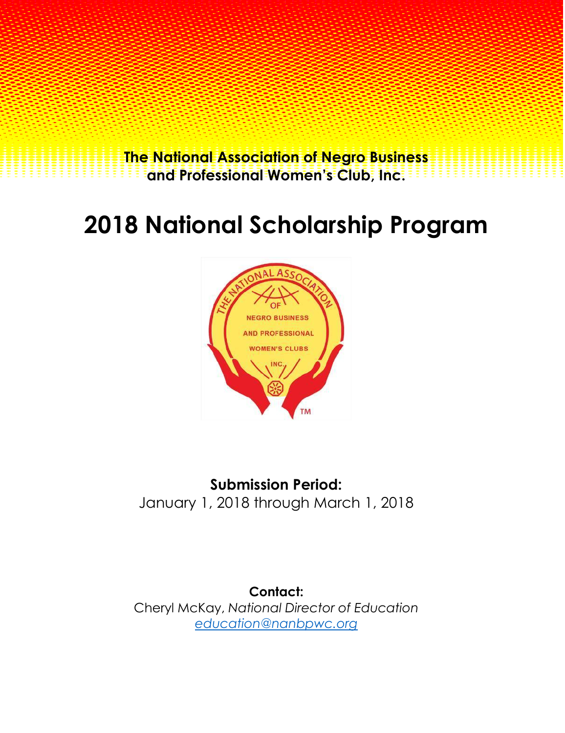**The National Association of Negro Business and Professional Women's Club, Inc.**

## **2018 National Scholarship Program**



**Submission Period:** January 1, 2018 through March 1, 2018

**Contact:** Cheryl McKay, *National Director of Education education@nanbpwc.org*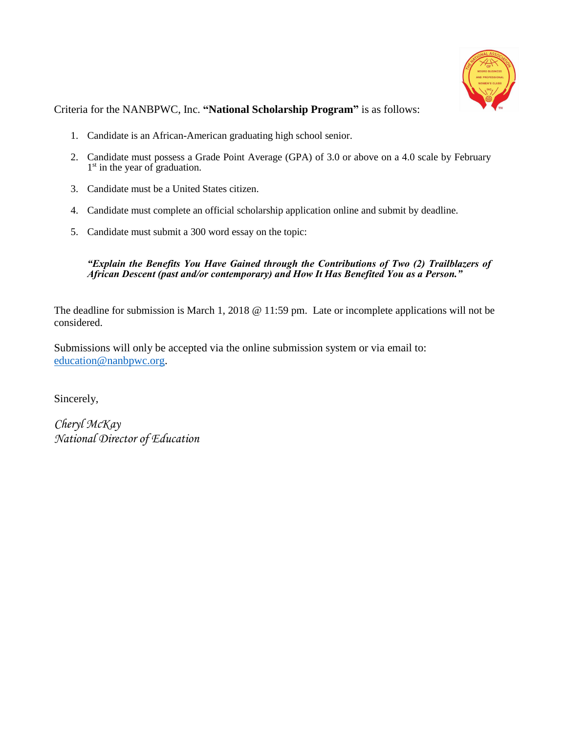

Criteria for the NANBPWC, Inc. **"National Scholarship Program"** is as follows:

- 1. Candidate is an African-American graduating high school senior.
- 2. Candidate must possess a Grade Point Average (GPA) of 3.0 or above on a 4.0 scale by February  $1<sup>st</sup>$  in the year of graduation.
- 3. Candidate must be a United States citizen.
- 4. Candidate must complete an official scholarship application online and submit by deadline.
- 5. Candidate must submit a 300 word essay on the topic:

## *"Explain the Benefits You Have Gained through the Contributions of Two (2) Trailblazers of African Descent (past and/or contemporary) and How It Has Benefited You as a Person."*

The deadline for submission is March 1, 2018 @ 11:59 pm. Late or incomplete applications will not be considered.

Submissions will only be accepted via the online submission system or via email to: education@nanbpwc.org.

Sincerely,

*Cheryl McKay National Director of Education*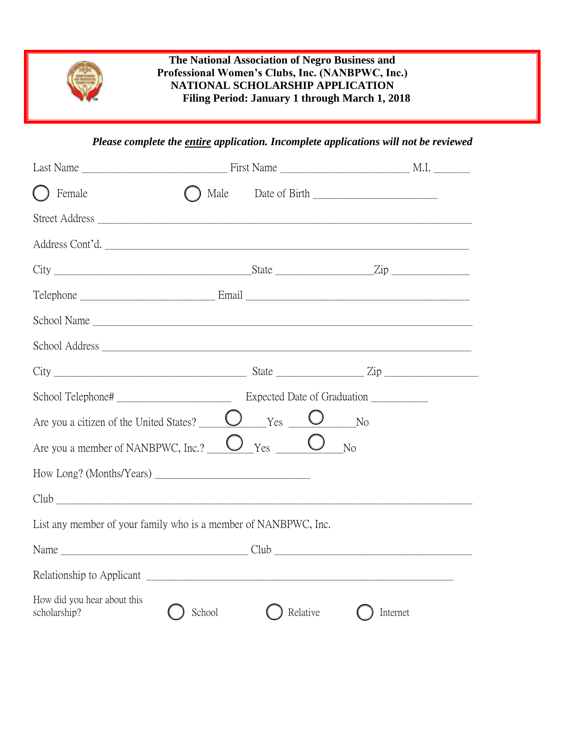

## **The National Association of Negro Business and Professional Women's Clubs, Inc. (NANBPWC, Inc.) NATIONAL SCHOLARSHIP APPLICATION Filing Period: January 1 through March 1, 2018**

*Please complete the entire application. Incomplete applications will not be reviewed*

| $\bigcap$ Female                                                                                                                                                                                                                                                                                                                     |        |          |                |
|--------------------------------------------------------------------------------------------------------------------------------------------------------------------------------------------------------------------------------------------------------------------------------------------------------------------------------------|--------|----------|----------------|
|                                                                                                                                                                                                                                                                                                                                      |        |          |                |
| Address Cont'd.                                                                                                                                                                                                                                                                                                                      |        |          |                |
| $City$ $2ip$                                                                                                                                                                                                                                                                                                                         |        |          |                |
|                                                                                                                                                                                                                                                                                                                                      |        |          |                |
| School Name                                                                                                                                                                                                                                                                                                                          |        |          |                |
|                                                                                                                                                                                                                                                                                                                                      |        |          |                |
| $City$ $\rule{1em}{0.15mm}$ $\rule{1em}{0.15mm}$ $\rule{1em}{0.15mm}$ $\rule{1em}{0.15mm}$ $\qquad$ $\qquad$ $\qquad$ $\qquad$ $\qquad$ $\qquad$ $\qquad$ $\qquad$ $\qquad$ $\qquad$ $\qquad$ $\qquad$ $\qquad$ $\qquad$ $\qquad$ $\qquad$ $\qquad$ $\qquad$ $\qquad$ $\qquad$ $\qquad$ $\qquad$ $\qquad$ $\qquad$ $\qquad$ $\qquad$ |        |          |                |
|                                                                                                                                                                                                                                                                                                                                      |        |          |                |
| Are you a citizen of the United States? $\Box$ Yes $\Box$ No                                                                                                                                                                                                                                                                         |        |          |                |
| Are you a member of NANBPWC, Inc.? $\underbrace{\bigcup}_{\text{Yes}}$ Yes $\underbrace{\bigcup}_{\text{Yes}}$                                                                                                                                                                                                                       |        |          | N <sub>o</sub> |
|                                                                                                                                                                                                                                                                                                                                      |        |          |                |
|                                                                                                                                                                                                                                                                                                                                      |        |          |                |
| List any member of your family who is a member of NANBPWC, Inc.                                                                                                                                                                                                                                                                      |        |          |                |
|                                                                                                                                                                                                                                                                                                                                      |        |          |                |
| Relationship to Applicant                                                                                                                                                                                                                                                                                                            |        |          |                |
| How did you hear about this<br>scholarship?                                                                                                                                                                                                                                                                                          | School | Relative | Internet       |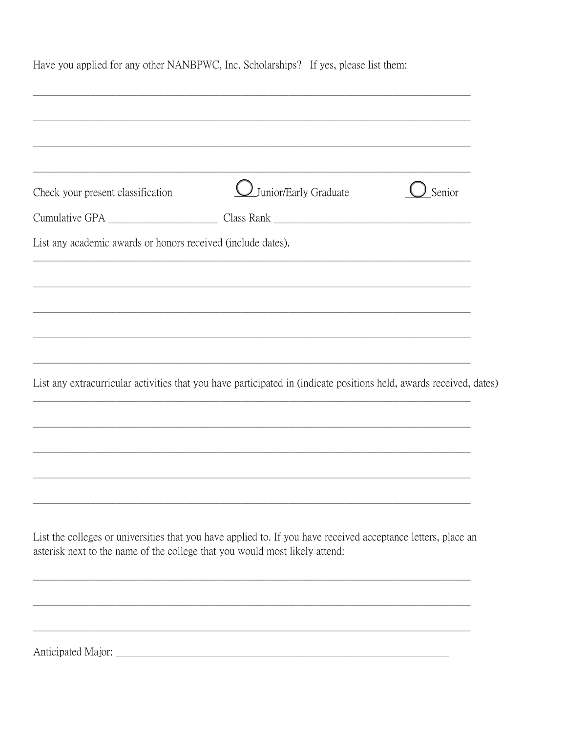| Check your present classification                                           | <i>Uunior/Early Graduate</i>                                                                                        | Senior |
|-----------------------------------------------------------------------------|---------------------------------------------------------------------------------------------------------------------|--------|
|                                                                             |                                                                                                                     |        |
| List any academic awards or honors received (include dates).                |                                                                                                                     |        |
|                                                                             |                                                                                                                     |        |
|                                                                             |                                                                                                                     |        |
|                                                                             |                                                                                                                     |        |
|                                                                             |                                                                                                                     |        |
|                                                                             |                                                                                                                     |        |
|                                                                             | List any extracurricular activities that you have participated in (indicate positions held, awards received, dates) |        |
|                                                                             |                                                                                                                     |        |
|                                                                             |                                                                                                                     |        |
|                                                                             |                                                                                                                     |        |
|                                                                             |                                                                                                                     |        |
|                                                                             | List the colleges or universities that you have applied to. If you have received acceptance letters, place an       |        |
| asterisk next to the name of the college that you would most likely attend: |                                                                                                                     |        |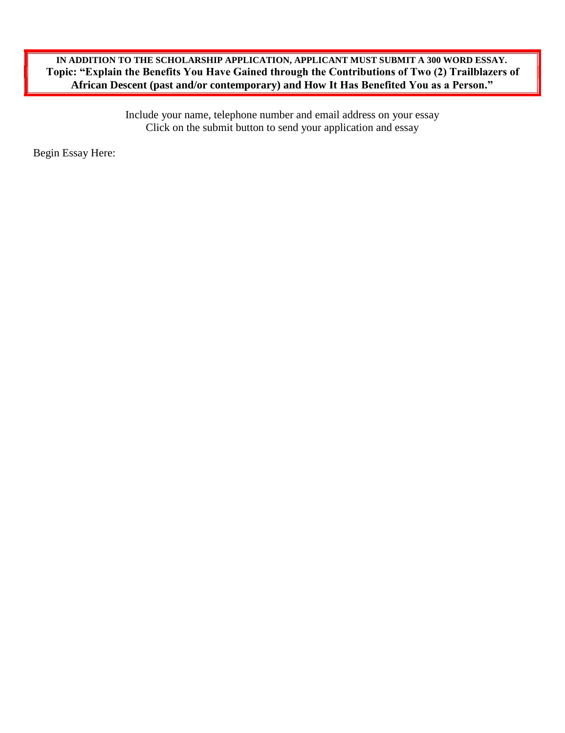## **IN ADDITION TO THE SCHOLARSHIP APPLICATION, APPLICANT MUST SUBMIT A 300 WORD ESSAY. Topic: "Explain the Benefits You Have Gained through the Contributions of Two (2) Trailblazers of African Descent (past and/or contemporary) and How It Has Benefited You as a Person."**

Include your name, telephone number and email address on your essay Click on the submit button to send your application and essay

Begin Essay Here: